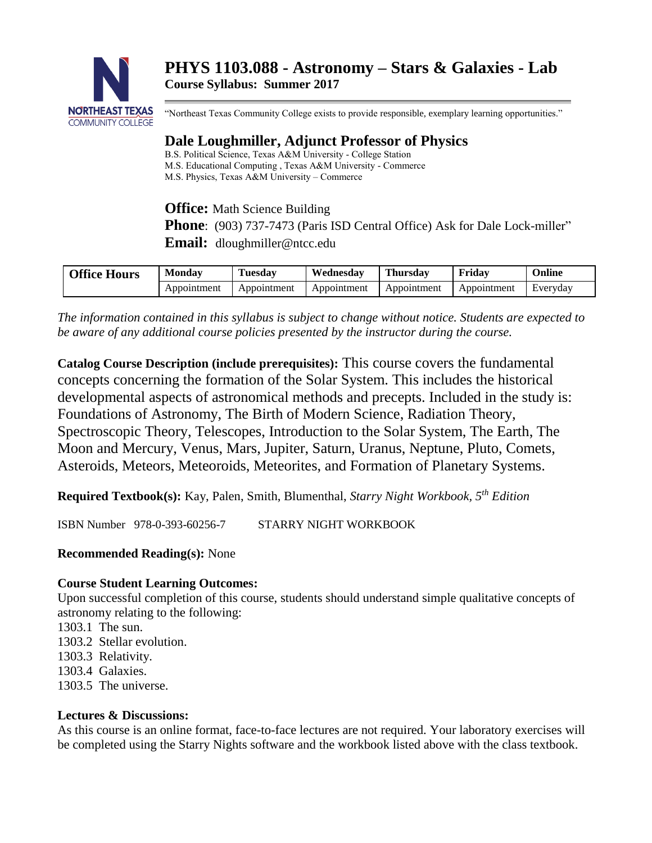

"Northeast Texas Community College exists to provide responsible, exemplary learning opportunities."

# **Dale Loughmiller, Adjunct Professor of Physics**

B.S. Political Science, Texas A&M University - College Station M.S. Educational Computing , Texas A&M University - Commerce M.S. Physics, Texas A&M University – Commerce

**Office:** Math Science Building

**Phone**: (903) 737-7473 (Paris ISD Central Office) Ask for Dale Lock-miller"

**Email:** dloughmiller@ntcc.edu

| <b>Office Hours</b> | Monday      | --<br>Tuesdav | Wednesday   | <b>Thursday</b> | .<br>Fridav | Jnline   |
|---------------------|-------------|---------------|-------------|-----------------|-------------|----------|
|                     | Appointment | Appointment   | Appointment | Appointment     | Appointment | Everyday |

*The information contained in this syllabus is subject to change without notice. Students are expected to be aware of any additional course policies presented by the instructor during the course.*

**Catalog Course Description (include prerequisites):** This course covers the fundamental concepts concerning the formation of the Solar System. This includes the historical developmental aspects of astronomical methods and precepts. Included in the study is: Foundations of Astronomy, The Birth of Modern Science, Radiation Theory, Spectroscopic Theory, Telescopes, Introduction to the Solar System, The Earth, The Moon and Mercury, Venus, Mars, Jupiter, Saturn, Uranus, Neptune, Pluto, Comets, Asteroids, Meteors, Meteoroids, Meteorites, and Formation of Planetary Systems.

**Required Textbook(s):** Kay, Palen, Smith, Blumenthal, *Starry Night Workbook, 5th Edition*

ISBN Number 978-0-393-60256-7 STARRY NIGHT WORKBOOK

# **Recommended Reading(s):** None

# **Course Student Learning Outcomes:**

Upon successful completion of this course, students should understand simple qualitative concepts of astronomy relating to the following:

- 1303.1 The sun.
- 1303.2 Stellar evolution.
- 1303.3 Relativity.
- 1303.4 Galaxies.
- 1303.5 The universe.

# **Lectures & Discussions:**

As this course is an online format, face-to-face lectures are not required. Your laboratory exercises will be completed using the Starry Nights software and the workbook listed above with the class textbook.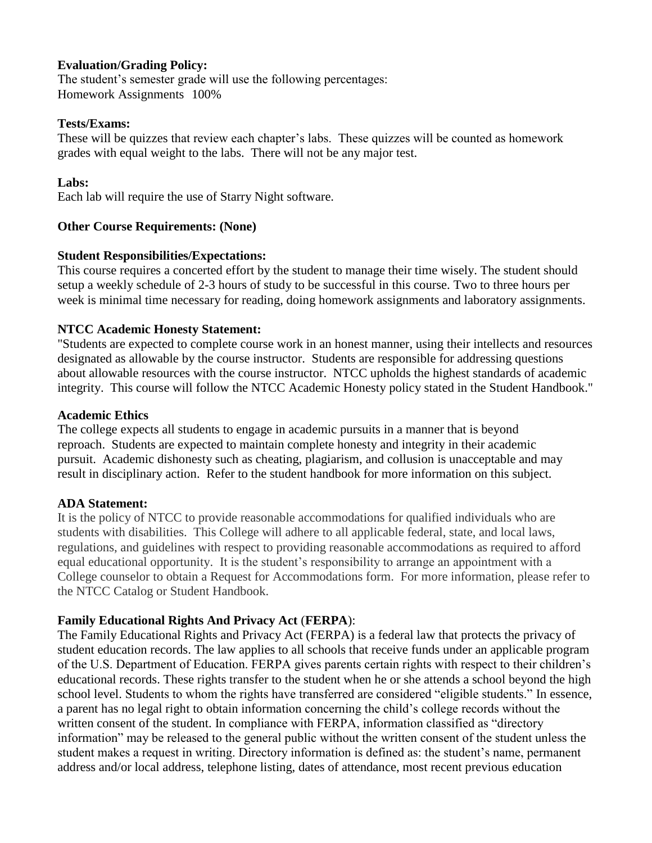## **Evaluation/Grading Policy:**

The student's semester grade will use the following percentages: Homework Assignments 100%

#### **Tests/Exams:**

These will be quizzes that review each chapter's labs. These quizzes will be counted as homework grades with equal weight to the labs. There will not be any major test.

## **Labs:**

Each lab will require the use of Starry Night software.

## **Other Course Requirements: (None)**

#### **Student Responsibilities/Expectations:**

This course requires a concerted effort by the student to manage their time wisely. The student should setup a weekly schedule of 2-3 hours of study to be successful in this course. Two to three hours per week is minimal time necessary for reading, doing homework assignments and laboratory assignments.

## **NTCC Academic Honesty Statement:**

"Students are expected to complete course work in an honest manner, using their intellects and resources designated as allowable by the course instructor. Students are responsible for addressing questions about allowable resources with the course instructor. NTCC upholds the highest standards of academic integrity. This course will follow the NTCC Academic Honesty policy stated in the Student Handbook."

#### **Academic Ethics**

The college expects all students to engage in academic pursuits in a manner that is beyond reproach. Students are expected to maintain complete honesty and integrity in their academic pursuit. Academic dishonesty such as cheating, plagiarism, and collusion is unacceptable and may result in disciplinary action. Refer to the student handbook for more information on this subject.

# **ADA Statement:**

It is the policy of NTCC to provide reasonable accommodations for qualified individuals who are students with disabilities. This College will adhere to all applicable federal, state, and local laws, regulations, and guidelines with respect to providing reasonable accommodations as required to afford equal educational opportunity. It is the student's responsibility to arrange an appointment with a College counselor to obtain a Request for Accommodations form. For more information, please refer to the NTCC Catalog or Student Handbook.

# **Family Educational Rights And Privacy Act** (**FERPA**):

The Family Educational Rights and Privacy Act (FERPA) is a federal law that protects the privacy of student education records. The law applies to all schools that receive funds under an applicable program of the U.S. Department of Education. FERPA gives parents certain rights with respect to their children's educational records. These rights transfer to the student when he or she attends a school beyond the high school level. Students to whom the rights have transferred are considered "eligible students." In essence, a parent has no legal right to obtain information concerning the child's college records without the written consent of the student. In compliance with FERPA, information classified as "directory information" may be released to the general public without the written consent of the student unless the student makes a request in writing. Directory information is defined as: the student's name, permanent address and/or local address, telephone listing, dates of attendance, most recent previous education